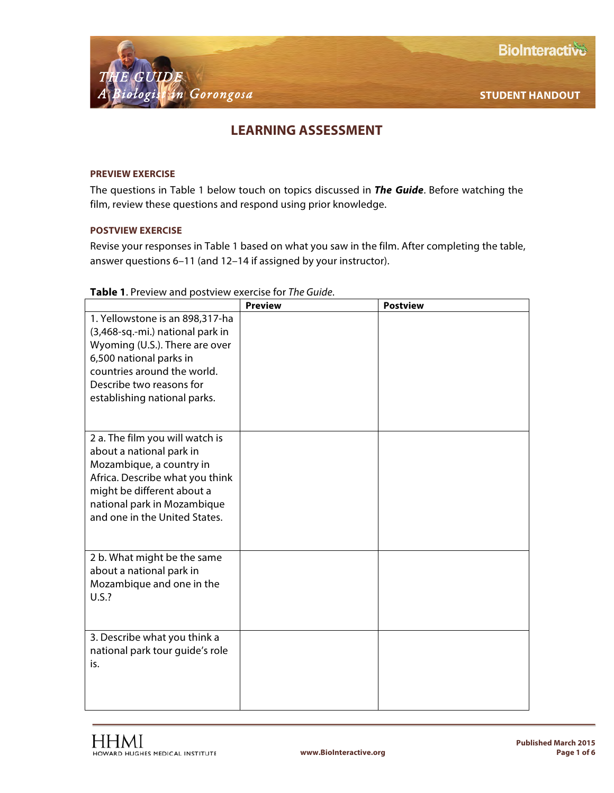

## **LEARNING ASSESSMENT**

## **PREVIEW EXERCISE**

The questions in Table 1 below touch on topics discussed in *The Guide*. Before watching the film, review these questions and respond using prior knowledge.

## **POSTVIEW EXERCISE**

Revise your responses in Table 1 based on what you saw in the film. After completing the table, answer questions 6–11 (and 12–14 if assigned by your instructor).

|                                  | <b>Preview</b> | <b>Postview</b> |
|----------------------------------|----------------|-----------------|
| 1. Yellowstone is an 898,317-ha  |                |                 |
| (3,468-sq.-mi.) national park in |                |                 |
| Wyoming (U.S.). There are over   |                |                 |
| 6,500 national parks in          |                |                 |
| countries around the world.      |                |                 |
| Describe two reasons for         |                |                 |
| establishing national parks.     |                |                 |
|                                  |                |                 |
| 2 a. The film you will watch is  |                |                 |
| about a national park in         |                |                 |
| Mozambique, a country in         |                |                 |
| Africa. Describe what you think  |                |                 |
| might be different about a       |                |                 |
| national park in Mozambique      |                |                 |
| and one in the United States.    |                |                 |
|                                  |                |                 |
| 2 b. What might be the same      |                |                 |
| about a national park in         |                |                 |
| Mozambique and one in the        |                |                 |
| U.S.?                            |                |                 |
|                                  |                |                 |
|                                  |                |                 |
| 3. Describe what you think a     |                |                 |
| national park tour guide's role  |                |                 |
| is.                              |                |                 |
|                                  |                |                 |
|                                  |                |                 |
|                                  |                |                 |

## **Table 1**. Preview and postview exercise for *The Guide*.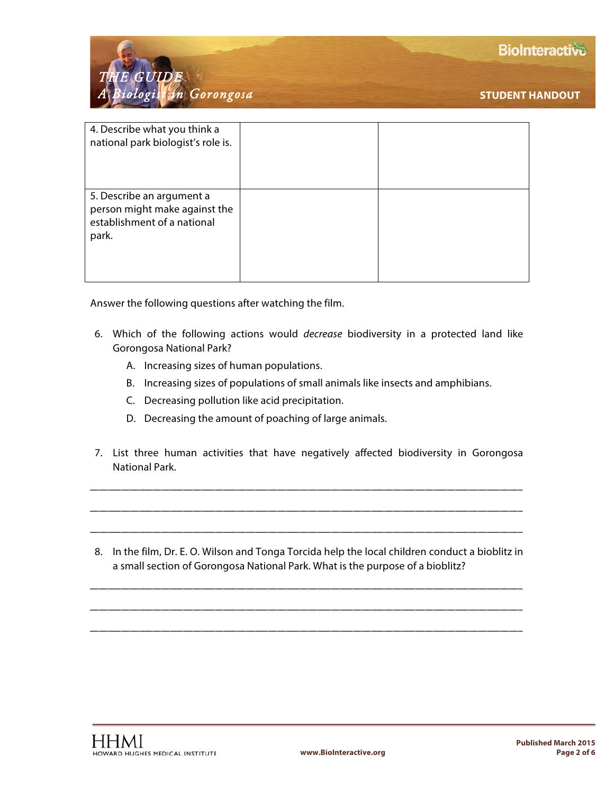

| 4. Describe what you think a<br>national park biologist's role is.                                 |  |
|----------------------------------------------------------------------------------------------------|--|
| 5. Describe an argument a<br>person might make against the<br>establishment of a national<br>park. |  |

Answer the following questions after watching the film.

- 6. Which of the following actions would *decrease* biodiversity in a protected land like Gorongosa National Park?
	- A. Increasing sizes of human populations.
	- B. Increasing sizes of populations of small animals like insects and amphibians.
	- C. Decreasing pollution like acid precipitation.
	- D. Decreasing the amount of poaching of large animals.
- 7. List three human activities that have negatively affected biodiversity in Gorongosa National Park.

\_\_\_\_\_\_\_\_\_\_\_\_\_\_\_\_\_\_\_\_\_\_\_\_\_\_\_\_\_\_\_\_\_\_\_\_\_\_\_\_\_\_\_\_\_\_\_\_\_\_\_\_\_\_\_\_\_\_\_\_\_\_\_\_\_\_\_\_\_\_\_\_\_\_\_\_\_\_\_\_\_\_\_\_\_\_\_\_\_\_\_\_\_\_\_\_\_

\_\_\_\_\_\_\_\_\_\_\_\_\_\_\_\_\_\_\_\_\_\_\_\_\_\_\_\_\_\_\_\_\_\_\_\_\_\_\_\_\_\_\_\_\_\_\_\_\_\_\_\_\_\_\_\_\_\_\_\_\_\_\_\_\_\_\_\_\_\_\_\_\_\_\_\_\_\_\_\_\_\_\_\_\_\_\_\_\_\_\_\_\_\_\_\_\_

\_\_\_\_\_\_\_\_\_\_\_\_\_\_\_\_\_\_\_\_\_\_\_\_\_\_\_\_\_\_\_\_\_\_\_\_\_\_\_\_\_\_\_\_\_\_\_\_\_\_\_\_\_\_\_\_\_\_\_\_\_\_\_\_\_\_\_\_\_\_\_\_\_\_\_\_\_\_\_\_\_\_\_\_\_\_\_\_\_\_\_\_\_\_\_\_\_

8. In the film, Dr. E. O. Wilson and Tonga Torcida help the local children conduct a bioblitz in a small section of Gorongosa National Park. What is the purpose of a bioblitz?

\_\_\_\_\_\_\_\_\_\_\_\_\_\_\_\_\_\_\_\_\_\_\_\_\_\_\_\_\_\_\_\_\_\_\_\_\_\_\_\_\_\_\_\_\_\_\_\_\_\_\_\_\_\_\_\_\_\_\_\_\_\_\_\_\_\_\_\_\_\_\_\_\_\_\_\_\_\_\_\_\_\_\_\_\_\_\_\_\_\_\_\_\_\_\_\_\_

\_\_\_\_\_\_\_\_\_\_\_\_\_\_\_\_\_\_\_\_\_\_\_\_\_\_\_\_\_\_\_\_\_\_\_\_\_\_\_\_\_\_\_\_\_\_\_\_\_\_\_\_\_\_\_\_\_\_\_\_\_\_\_\_\_\_\_\_\_\_\_\_\_\_\_\_\_\_\_\_\_\_\_\_\_\_\_\_\_\_\_\_\_\_\_\_\_

\_\_\_\_\_\_\_\_\_\_\_\_\_\_\_\_\_\_\_\_\_\_\_\_\_\_\_\_\_\_\_\_\_\_\_\_\_\_\_\_\_\_\_\_\_\_\_\_\_\_\_\_\_\_\_\_\_\_\_\_\_\_\_\_\_\_\_\_\_\_\_\_\_\_\_\_\_\_\_\_\_\_\_\_\_\_\_\_\_\_\_\_\_\_\_\_\_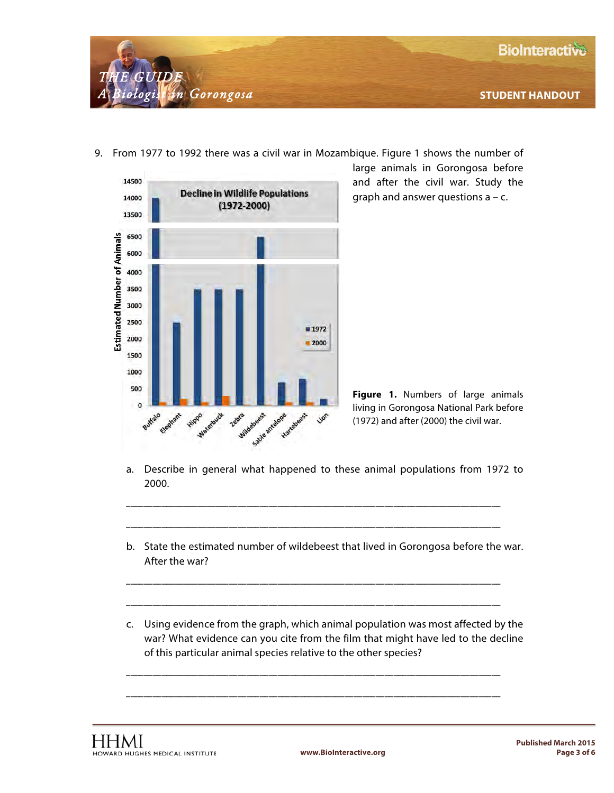



9. From 1977 to 1992 there was a civil war in Mozambique. Figure 1 shows the number of

large animals in Gorongosa before and after the civil war. Study the graph and answer questions  $a - c$ .



a. Describe in general what happened to these animal populations from 1972 to 2000.

\_\_\_\_\_\_\_\_\_\_\_\_\_\_\_\_\_\_\_\_\_\_\_\_\_\_\_\_\_\_\_\_\_\_\_\_\_\_\_\_\_\_\_\_\_\_\_\_\_\_\_\_\_\_\_\_\_\_\_\_\_\_\_\_\_\_\_\_\_\_\_\_\_\_\_\_\_\_\_\_\_\_\_\_

\_\_\_\_\_\_\_\_\_\_\_\_\_\_\_\_\_\_\_\_\_\_\_\_\_\_\_\_\_\_\_\_\_\_\_\_\_\_\_\_\_\_\_\_\_\_\_\_\_\_\_\_\_\_\_\_\_\_\_\_\_\_\_\_\_\_\_\_\_\_\_\_\_\_\_\_\_\_\_\_\_\_\_\_

\_\_\_\_\_\_\_\_\_\_\_\_\_\_\_\_\_\_\_\_\_\_\_\_\_\_\_\_\_\_\_\_\_\_\_\_\_\_\_\_\_\_\_\_\_\_\_\_\_\_\_\_\_\_\_\_\_\_\_\_\_\_\_\_\_\_\_\_\_\_\_\_\_\_\_\_\_\_\_\_\_\_\_\_

\_\_\_\_\_\_\_\_\_\_\_\_\_\_\_\_\_\_\_\_\_\_\_\_\_\_\_\_\_\_\_\_\_\_\_\_\_\_\_\_\_\_\_\_\_\_\_\_\_\_\_\_\_\_\_\_\_\_\_\_\_\_\_\_\_\_\_\_\_\_\_\_\_\_\_\_\_\_\_\_\_\_\_\_

\_\_\_\_\_\_\_\_\_\_\_\_\_\_\_\_\_\_\_\_\_\_\_\_\_\_\_\_\_\_\_\_\_\_\_\_\_\_\_\_\_\_\_\_\_\_\_\_\_\_\_\_\_\_\_\_\_\_\_\_\_\_\_\_\_\_\_\_\_\_\_\_\_\_\_\_\_\_\_\_\_\_\_\_

\_\_\_\_\_\_\_\_\_\_\_\_\_\_\_\_\_\_\_\_\_\_\_\_\_\_\_\_\_\_\_\_\_\_\_\_\_\_\_\_\_\_\_\_\_\_\_\_\_\_\_\_\_\_\_\_\_\_\_\_\_\_\_\_\_\_\_\_\_\_\_\_\_\_\_\_\_\_\_\_\_\_\_\_

- b. State the estimated number of wildebeest that lived in Gorongosa before the war. After the war?
- c. Using evidence from the graph, which animal population was most affected by the war? What evidence can you cite from the film that might have led to the decline of this particular animal species relative to the other species?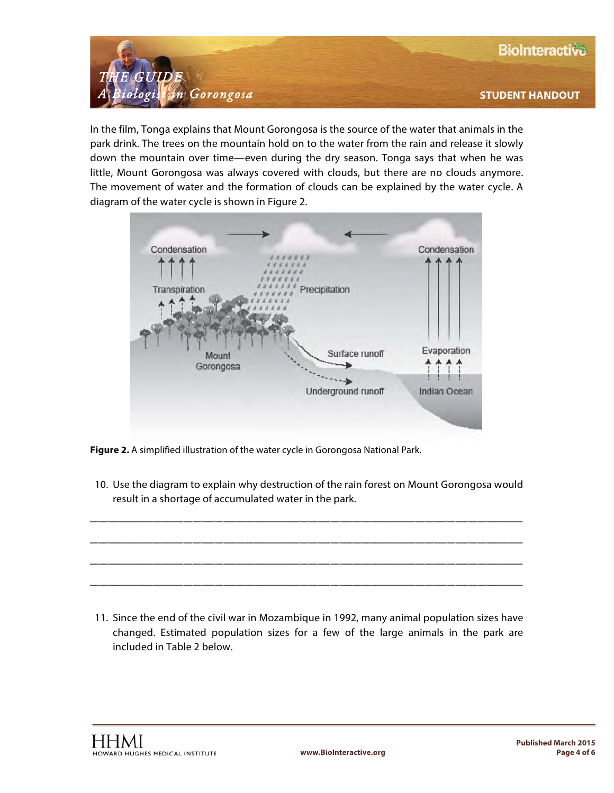

In the film, Tonga explains that Mount Gorongosa is the source of the water that animals in the park drink. The trees on the mountain hold on to the water from the rain and release it slowly down the mountain over time—even during the dry season. Tonga says that when he was little, Mount Gorongosa was always covered with clouds, but there are no clouds anymore. The movement of water and the formation of clouds can be explained by the water cycle. A diagram of the water cycle is shown in Figure 2.



**Figure 2.** A simplified illustration of the water cycle in Gorongosa National Park.

10. Use the diagram to explain why destruction of the rain forest on Mount Gorongosa would result in a shortage of accumulated water in the park.

\_\_\_\_\_\_\_\_\_\_\_\_\_\_\_\_\_\_\_\_\_\_\_\_\_\_\_\_\_\_\_\_\_\_\_\_\_\_\_\_\_\_\_\_\_\_\_\_\_\_\_\_\_\_\_\_\_\_\_\_\_\_\_\_\_\_\_\_\_\_\_\_\_\_\_\_\_\_\_\_\_\_\_\_\_\_\_\_\_\_\_\_\_\_\_\_\_

\_\_\_\_\_\_\_\_\_\_\_\_\_\_\_\_\_\_\_\_\_\_\_\_\_\_\_\_\_\_\_\_\_\_\_\_\_\_\_\_\_\_\_\_\_\_\_\_\_\_\_\_\_\_\_\_\_\_\_\_\_\_\_\_\_\_\_\_\_\_\_\_\_\_\_\_\_\_\_\_\_\_\_\_\_\_\_\_\_\_\_\_\_\_\_\_\_

\_\_\_\_\_\_\_\_\_\_\_\_\_\_\_\_\_\_\_\_\_\_\_\_\_\_\_\_\_\_\_\_\_\_\_\_\_\_\_\_\_\_\_\_\_\_\_\_\_\_\_\_\_\_\_\_\_\_\_\_\_\_\_\_\_\_\_\_\_\_\_\_\_\_\_\_\_\_\_\_\_\_\_\_\_\_\_\_\_\_\_\_\_\_\_\_\_

\_\_\_\_\_\_\_\_\_\_\_\_\_\_\_\_\_\_\_\_\_\_\_\_\_\_\_\_\_\_\_\_\_\_\_\_\_\_\_\_\_\_\_\_\_\_\_\_\_\_\_\_\_\_\_\_\_\_\_\_\_\_\_\_\_\_\_\_\_\_\_\_\_\_\_\_\_\_\_\_\_\_\_\_\_\_\_\_\_\_\_\_\_\_\_\_\_

11. Since the end of the civil war in Mozambique in 1992, many animal population sizes have changed. Estimated population sizes for a few of the large animals in the park are included in Table 2 below.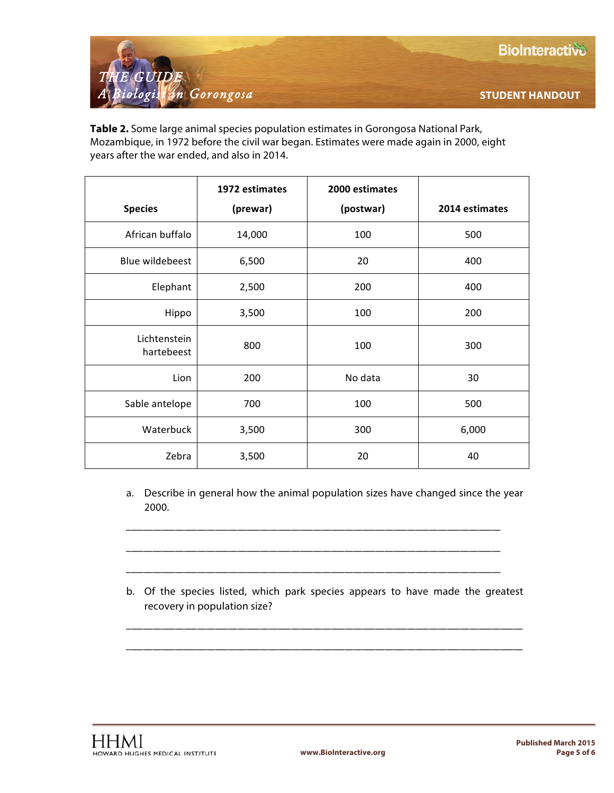**STUDENT HANDOUT**



**Table 2.** Some large animal species population estimates in Gorongosa National Park, Mozambique, in 1972 before the civil war began. Estimates were made again in 2000, eight years after the war ended, and also in 2014.

|                            | 1972 estimates | 2000 estimates |                |
|----------------------------|----------------|----------------|----------------|
| <b>Species</b>             | (prewar)       | (postwar)      | 2014 estimates |
| African buffalo            | 14,000         | 100            | 500            |
| Blue wildebeest            | 6,500          | 20             | 400            |
| Elephant                   | 2,500          | 200            | 400            |
| Hippo                      | 3,500          | 100            | 200            |
| Lichtenstein<br>hartebeest | 800            | 100            | 300            |
| Lion                       | 200            | No data        | 30             |
| Sable antelope             | 700            | 100            | 500            |
| Waterbuck                  | 3,500          | 300            | 6,000          |
| Zebra                      | 3,500          | 20             | 40             |

a. Describe in general how the animal population sizes have changed since the year 2000.

\_\_\_\_\_\_\_\_\_\_\_\_\_\_\_\_\_\_\_\_\_\_\_\_\_\_\_\_\_\_\_\_\_\_\_\_\_\_\_\_\_\_\_\_\_\_\_\_\_\_\_\_\_\_\_\_\_\_\_\_\_\_\_\_\_\_\_\_\_\_\_\_\_\_\_\_\_\_\_\_\_\_\_\_

\_\_\_\_\_\_\_\_\_\_\_\_\_\_\_\_\_\_\_\_\_\_\_\_\_\_\_\_\_\_\_\_\_\_\_\_\_\_\_\_\_\_\_\_\_\_\_\_\_\_\_\_\_\_\_\_\_\_\_\_\_\_\_\_\_\_\_\_\_\_\_\_\_\_\_\_\_\_\_\_\_\_\_\_

\_\_\_\_\_\_\_\_\_\_\_\_\_\_\_\_\_\_\_\_\_\_\_\_\_\_\_\_\_\_\_\_\_\_\_\_\_\_\_\_\_\_\_\_\_\_\_\_\_\_\_\_\_\_\_\_\_\_\_\_\_\_\_\_\_\_\_\_\_\_\_\_\_\_\_\_\_\_\_\_\_\_\_\_

b. Of the species listed, which park species appears to have made the greatest recovery in population size?

\_\_\_\_\_\_\_\_\_\_\_\_\_\_\_\_\_\_\_\_\_\_\_\_\_\_\_\_\_\_\_\_\_\_\_\_\_\_\_\_\_\_\_\_\_\_\_\_\_\_\_\_\_\_\_\_\_\_\_\_\_\_\_\_\_\_\_\_\_\_\_\_\_\_\_\_\_\_\_\_\_\_\_\_\_\_\_\_\_

\_\_\_\_\_\_\_\_\_\_\_\_\_\_\_\_\_\_\_\_\_\_\_\_\_\_\_\_\_\_\_\_\_\_\_\_\_\_\_\_\_\_\_\_\_\_\_\_\_\_\_\_\_\_\_\_\_\_\_\_\_\_\_\_\_\_\_\_\_\_\_\_\_\_\_\_\_\_\_\_\_\_\_\_\_\_\_\_\_